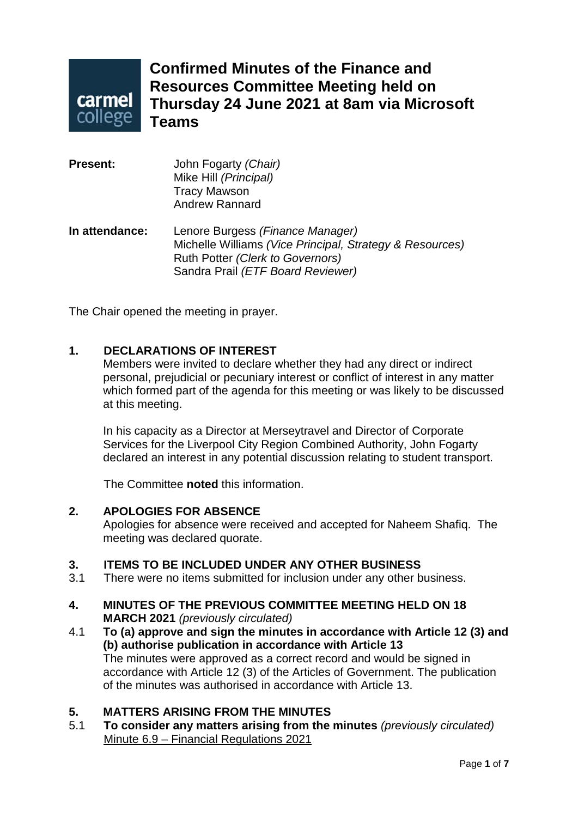

**Confirmed Minutes of the Finance and Resources Committee Meeting held on Thursday 24 June 2021 at 8am via Microsoft Teams**

| <b>Present:</b> | John Fogarty (Chair)<br>Mike Hill (Principal)<br><b>Tracy Mawson</b><br><b>Andrew Rannard</b>                                                                         |
|-----------------|-----------------------------------------------------------------------------------------------------------------------------------------------------------------------|
| In attendance:  | Lenore Burgess (Finance Manager)<br>Michelle Williams (Vice Principal, Strategy & Resources)<br>Ruth Potter (Clerk to Governors)<br>Sandra Prail (ETF Board Reviewer) |

The Chair opened the meeting in prayer.

## **1. DECLARATIONS OF INTEREST**

Members were invited to declare whether they had any direct or indirect personal, prejudicial or pecuniary interest or conflict of interest in any matter which formed part of the agenda for this meeting or was likely to be discussed at this meeting.

In his capacity as a Director at Merseytravel and Director of Corporate Services for the Liverpool City Region Combined Authority, John Fogarty declared an interest in any potential discussion relating to student transport.

The Committee **noted** this information.

#### **2. APOLOGIES FOR ABSENCE**

Apologies for absence were received and accepted for Naheem Shafiq. The meeting was declared quorate.

# **3. ITEMS TO BE INCLUDED UNDER ANY OTHER BUSINESS**

There were no items submitted for inclusion under any other business.

### **4. MINUTES OF THE PREVIOUS COMMITTEE MEETING HELD ON 18 MARCH 2021** *(previously circulated)*

4.1 **To (a) approve and sign the minutes in accordance with Article 12 (3) and (b) authorise publication in accordance with Article 13** The minutes were approved as a correct record and would be signed in accordance with Article 12 (3) of the Articles of Government. The publication of the minutes was authorised in accordance with Article 13.

#### **5. MATTERS ARISING FROM THE MINUTES**

5.1 **To consider any matters arising from the minutes** *(previously circulated)* Minute 6.9 – Financial Regulations 2021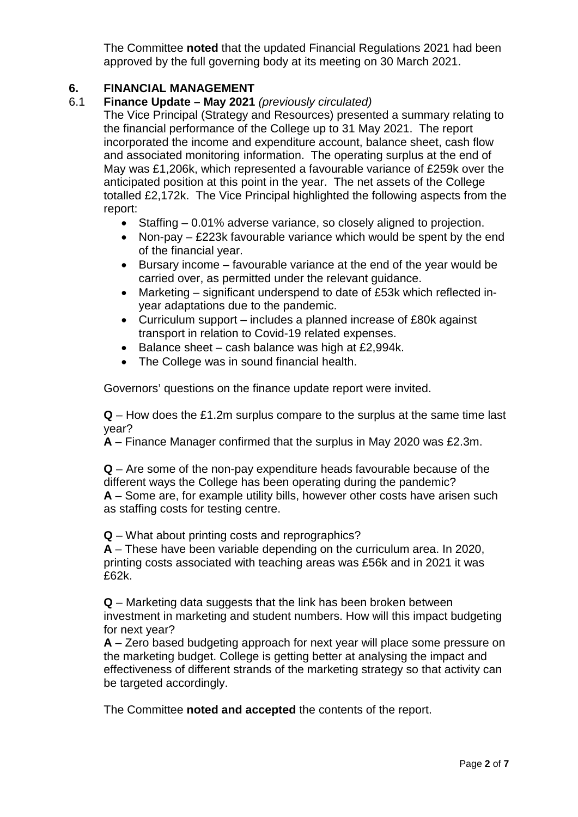The Committee **noted** that the updated Financial Regulations 2021 had been approved by the full governing body at its meeting on 30 March 2021.

# **6. FINANCIAL MANAGEMENT**

6.1 **Finance Update – May 2021** *(previously circulated)*

The Vice Principal (Strategy and Resources) presented a summary relating to the financial performance of the College up to 31 May 2021. The report incorporated the income and expenditure account, balance sheet, cash flow and associated monitoring information. The operating surplus at the end of May was £1,206k, which represented a favourable variance of £259k over the anticipated position at this point in the year. The net assets of the College totalled £2,172k. The Vice Principal highlighted the following aspects from the report:

- Staffing 0.01% adverse variance, so closely aligned to projection.
- Non-pay £223k favourable variance which would be spent by the end of the financial year.
- Bursary income favourable variance at the end of the year would be carried over, as permitted under the relevant guidance.
- Marketing significant underspend to date of £53k which reflected inyear adaptations due to the pandemic.
- Curriculum support includes a planned increase of £80k against transport in relation to Covid-19 related expenses.
- Balance sheet cash balance was high at £2,994k.
- The College was in sound financial health.

Governors' questions on the finance update report were invited.

**Q** – How does the £1.2m surplus compare to the surplus at the same time last year?

**A** – Finance Manager confirmed that the surplus in May 2020 was £2.3m.

**Q** – Are some of the non-pay expenditure heads favourable because of the different ways the College has been operating during the pandemic? **A** – Some are, for example utility bills, however other costs have arisen such as staffing costs for testing centre.

**Q** – What about printing costs and reprographics?

**A** – These have been variable depending on the curriculum area. In 2020, printing costs associated with teaching areas was £56k and in 2021 it was £62k.

**Q** – Marketing data suggests that the link has been broken between investment in marketing and student numbers. How will this impact budgeting for next year?

**A** – Zero based budgeting approach for next year will place some pressure on the marketing budget. College is getting better at analysing the impact and effectiveness of different strands of the marketing strategy so that activity can be targeted accordingly.

The Committee **noted and accepted** the contents of the report.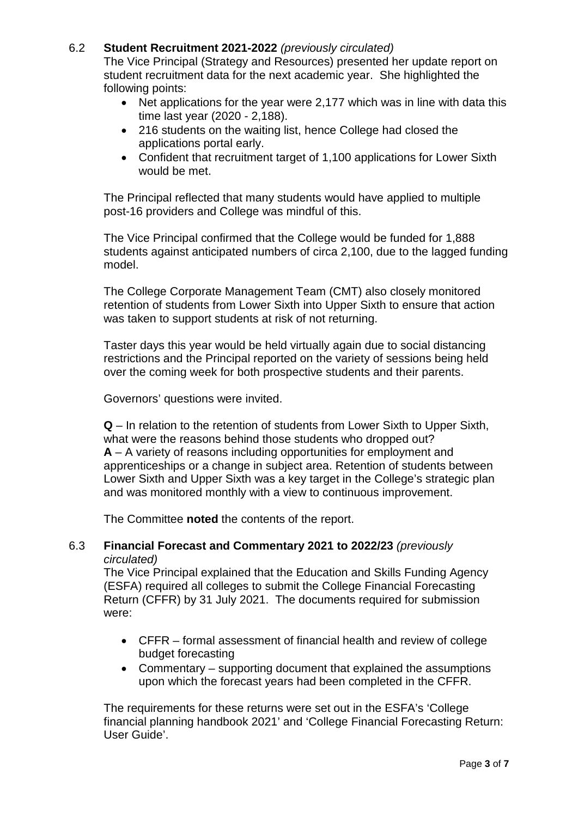## 6.2 **Student Recruitment 2021-2022** *(previously circulated)*

The Vice Principal (Strategy and Resources) presented her update report on student recruitment data for the next academic year. She highlighted the following points:

- Net applications for the year were 2,177 which was in line with data this time last year (2020 - 2,188).
- 216 students on the waiting list, hence College had closed the applications portal early.
- Confident that recruitment target of 1,100 applications for Lower Sixth would be met.

The Principal reflected that many students would have applied to multiple post-16 providers and College was mindful of this.

The Vice Principal confirmed that the College would be funded for 1,888 students against anticipated numbers of circa 2,100, due to the lagged funding model.

The College Corporate Management Team (CMT) also closely monitored retention of students from Lower Sixth into Upper Sixth to ensure that action was taken to support students at risk of not returning.

Taster days this year would be held virtually again due to social distancing restrictions and the Principal reported on the variety of sessions being held over the coming week for both prospective students and their parents.

Governors' questions were invited.

**Q** – In relation to the retention of students from Lower Sixth to Upper Sixth, what were the reasons behind those students who dropped out? **A** – A variety of reasons including opportunities for employment and apprenticeships or a change in subject area. Retention of students between Lower Sixth and Upper Sixth was a key target in the College's strategic plan and was monitored monthly with a view to continuous improvement.

The Committee **noted** the contents of the report.

### 6.3 **Financial Forecast and Commentary 2021 to 2022/23** *(previously circulated)*

The Vice Principal explained that the Education and Skills Funding Agency (ESFA) required all colleges to submit the College Financial Forecasting Return (CFFR) by 31 July 2021. The documents required for submission were:

- CFFR formal assessment of financial health and review of college budget forecasting
- Commentary supporting document that explained the assumptions upon which the forecast years had been completed in the CFFR.

The requirements for these returns were set out in the ESFA's 'College financial planning handbook 2021' and 'College Financial Forecasting Return: User Guide'.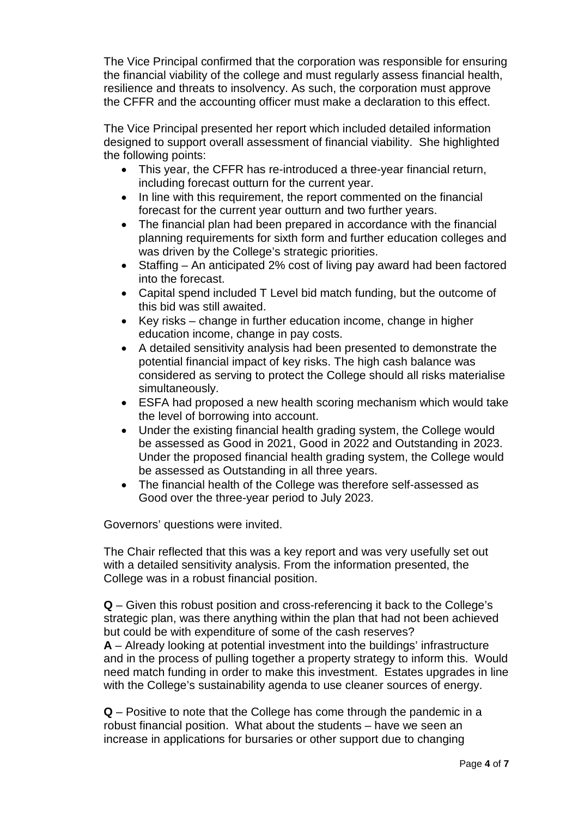The Vice Principal confirmed that the corporation was responsible for ensuring the financial viability of the college and must regularly assess financial health, resilience and threats to insolvency. As such, the corporation must approve the CFFR and the accounting officer must make a declaration to this effect.

The Vice Principal presented her report which included detailed information designed to support overall assessment of financial viability. She highlighted the following points:

- This year, the CFFR has re-introduced a three-year financial return, including forecast outturn for the current year.
- In line with this requirement, the report commented on the financial forecast for the current year outturn and two further years.
- The financial plan had been prepared in accordance with the financial planning requirements for sixth form and further education colleges and was driven by the College's strategic priorities.
- Staffing An anticipated 2% cost of living pay award had been factored into the forecast.
- Capital spend included T Level bid match funding, but the outcome of this bid was still awaited.
- Key risks change in further education income, change in higher education income, change in pay costs.
- A detailed sensitivity analysis had been presented to demonstrate the potential financial impact of key risks. The high cash balance was considered as serving to protect the College should all risks materialise simultaneously.
- ESFA had proposed a new health scoring mechanism which would take the level of borrowing into account.
- Under the existing financial health grading system, the College would be assessed as Good in 2021, Good in 2022 and Outstanding in 2023. Under the proposed financial health grading system, the College would be assessed as Outstanding in all three years.
- The financial health of the College was therefore self-assessed as Good over the three-year period to July 2023.

Governors' questions were invited.

The Chair reflected that this was a key report and was very usefully set out with a detailed sensitivity analysis. From the information presented, the College was in a robust financial position.

**Q** – Given this robust position and cross-referencing it back to the College's strategic plan, was there anything within the plan that had not been achieved but could be with expenditure of some of the cash reserves?

**A** – Already looking at potential investment into the buildings' infrastructure and in the process of pulling together a property strategy to inform this. Would need match funding in order to make this investment. Estates upgrades in line with the College's sustainability agenda to use cleaner sources of energy.

**Q** – Positive to note that the College has come through the pandemic in a robust financial position. What about the students – have we seen an increase in applications for bursaries or other support due to changing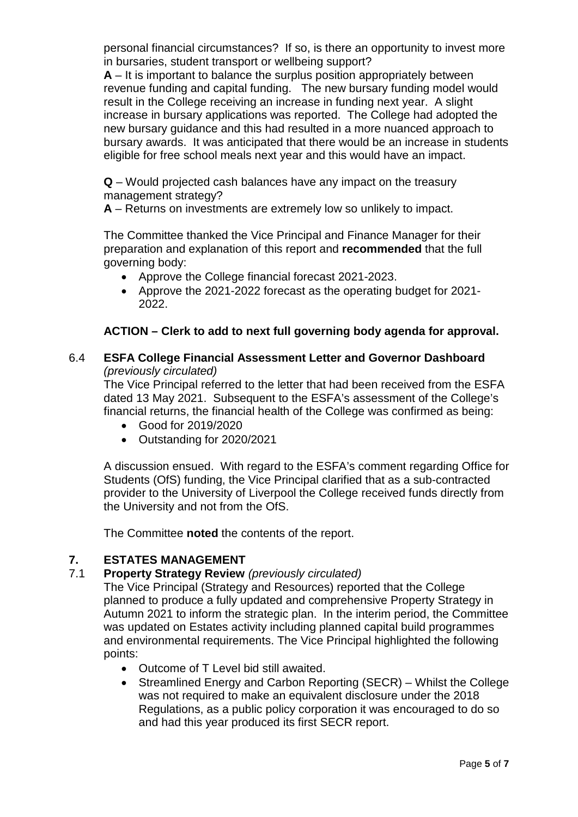personal financial circumstances? If so, is there an opportunity to invest more in bursaries, student transport or wellbeing support?

**A** – It is important to balance the surplus position appropriately between revenue funding and capital funding. The new bursary funding model would result in the College receiving an increase in funding next year. A slight increase in bursary applications was reported. The College had adopted the new bursary guidance and this had resulted in a more nuanced approach to bursary awards. It was anticipated that there would be an increase in students eligible for free school meals next year and this would have an impact.

**Q** – Would projected cash balances have any impact on the treasury management strategy?

**A** – Returns on investments are extremely low so unlikely to impact.

The Committee thanked the Vice Principal and Finance Manager for their preparation and explanation of this report and **recommended** that the full governing body:

- Approve the College financial forecast 2021-2023.
- Approve the 2021-2022 forecast as the operating budget for 2021- 2022.

## **ACTION – Clerk to add to next full governing body agenda for approval.**

## 6.4 **ESFA College Financial Assessment Letter and Governor Dashboard** *(previously circulated)*

The Vice Principal referred to the letter that had been received from the ESFA dated 13 May 2021. Subsequent to the ESFA's assessment of the College's financial returns, the financial health of the College was confirmed as being:

- Good for 2019/2020
- Outstanding for 2020/2021

A discussion ensued. With regard to the ESFA's comment regarding Office for Students (OfS) funding, the Vice Principal clarified that as a sub-contracted provider to the University of Liverpool the College received funds directly from the University and not from the OfS.

The Committee **noted** the contents of the report.

## **7. ESTATES MANAGEMENT**

## 7.1 **Property Strategy Review** *(previously circulated)*

The Vice Principal (Strategy and Resources) reported that the College planned to produce a fully updated and comprehensive Property Strategy in Autumn 2021 to inform the strategic plan. In the interim period, the Committee was updated on Estates activity including planned capital build programmes and environmental requirements. The Vice Principal highlighted the following points:

- Outcome of T Level bid still awaited.
- Streamlined Energy and Carbon Reporting (SECR) Whilst the College was not required to make an equivalent disclosure under the 2018 Regulations, as a public policy corporation it was encouraged to do so and had this year produced its first SECR report.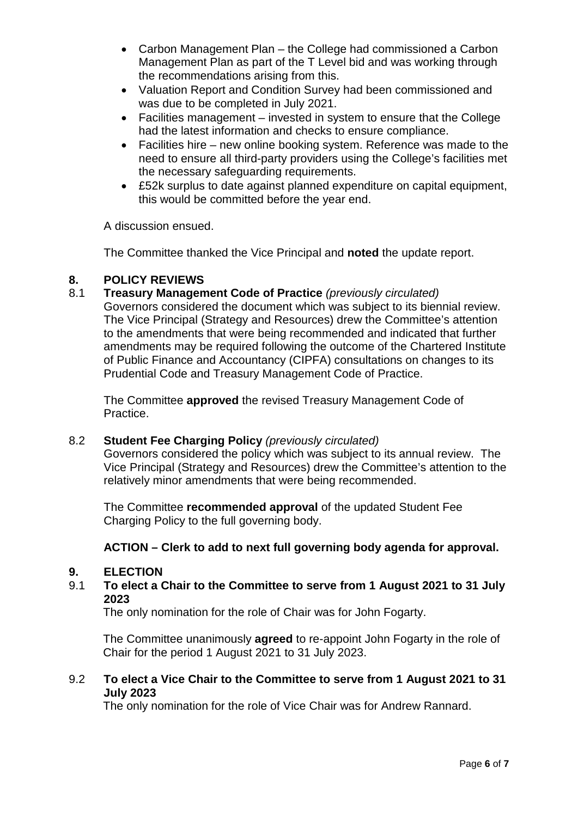- Carbon Management Plan the College had commissioned a Carbon Management Plan as part of the T Level bid and was working through the recommendations arising from this.
- Valuation Report and Condition Survey had been commissioned and was due to be completed in July 2021.
- Facilities management invested in system to ensure that the College had the latest information and checks to ensure compliance.
- Facilities hire new online booking system. Reference was made to the need to ensure all third-party providers using the College's facilities met the necessary safeguarding requirements.
- £52k surplus to date against planned expenditure on capital equipment, this would be committed before the year end.

A discussion ensued.

The Committee thanked the Vice Principal and **noted** the update report.

# **8. POLICY REVIEWS**

8.1 **Treasury Management Code of Practice** *(previously circulated)*

Governors considered the document which was subject to its biennial review. The Vice Principal (Strategy and Resources) drew the Committee's attention to the amendments that were being recommended and indicated that further amendments may be required following the outcome of the Chartered Institute of Public Finance and Accountancy (CIPFA) consultations on changes to its Prudential Code and Treasury Management Code of Practice.

The Committee **approved** the revised Treasury Management Code of Practice.

### 8.2 **Student Fee Charging Policy** *(previously circulated)*

Governors considered the policy which was subject to its annual review. The Vice Principal (Strategy and Resources) drew the Committee's attention to the relatively minor amendments that were being recommended.

The Committee **recommended approval** of the updated Student Fee Charging Policy to the full governing body.

## **ACTION – Clerk to add to next full governing body agenda for approval.**

#### **9. ELECTION**

9.1 **To elect a Chair to the Committee to serve from 1 August 2021 to 31 July 2023**

The only nomination for the role of Chair was for John Fogarty.

The Committee unanimously **agreed** to re-appoint John Fogarty in the role of Chair for the period 1 August 2021 to 31 July 2023.

### 9.2 **To elect a Vice Chair to the Committee to serve from 1 August 2021 to 31 July 2023**

The only nomination for the role of Vice Chair was for Andrew Rannard.